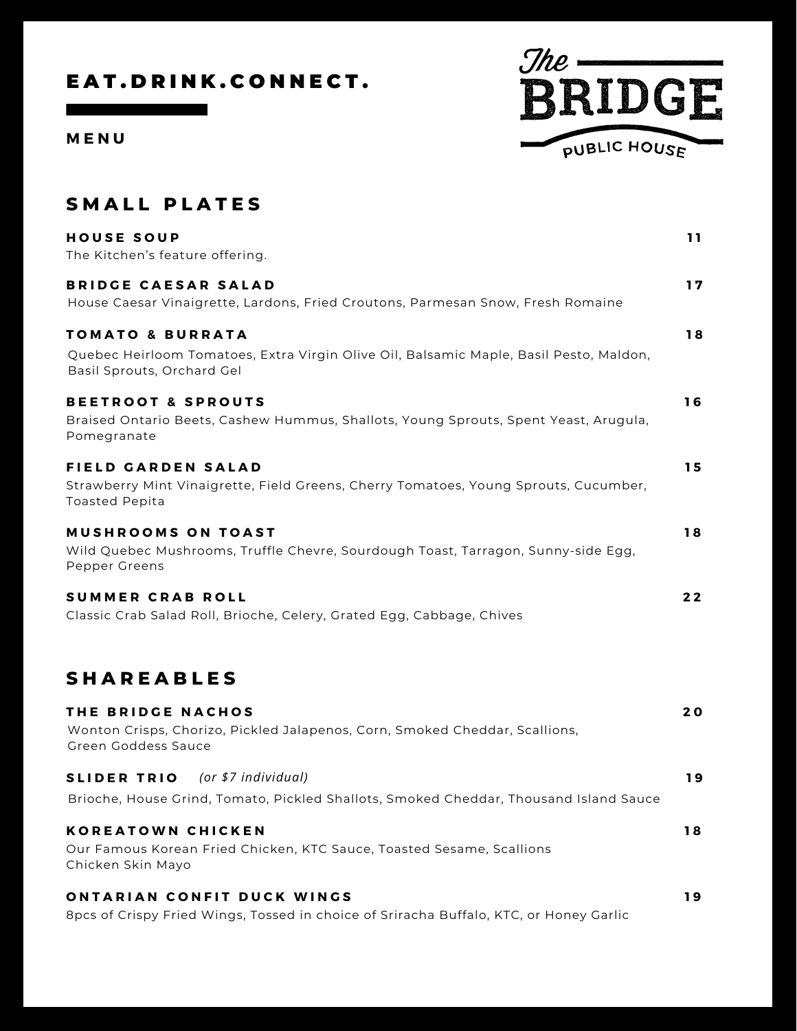## EAT. DRINK. CONNECT.

**M E N U**



| <b>SMALL PLATES</b>                                                                                                                                 |    |
|-----------------------------------------------------------------------------------------------------------------------------------------------------|----|
| <b>HOUSE SOUP</b><br>The Kitchen's feature offering.                                                                                                | 11 |
| <b>BRIDGE CAESAR SALAD</b><br>House Caesar Vinaigrette, Lardons, Fried Croutons, Parmesan Snow, Fresh Romaine                                       | 17 |
| <b>TOMATO &amp; BURRATA</b><br>Quebec Heirloom Tomatoes, Extra Virgin Olive Oil, Balsamic Maple, Basil Pesto, Maldon,<br>Basil Sprouts, Orchard Gel | 18 |
| <b>BEETROOT &amp; SPROUTS</b><br>Braised Ontario Beets, Cashew Hummus, Shallots, Young Sprouts, Spent Yeast, Arugula,<br>Pomegranate                | 16 |
| FIELD GARDEN SALAD<br>Strawberry Mint Vinaigrette, Field Greens, Cherry Tomatoes, Young Sprouts, Cucumber,<br><b>Toasted Pepita</b>                 | 15 |
| <b>MUSHROOMS ON TOAST</b><br>Wild Quebec Mushrooms, Truffle Chevre, Sourdough Toast, Tarragon, Sunny-side Egg,<br>Pepper Greens                     | 18 |
| <b>SUMMER CRAB ROLL</b><br>Classic Crab Salad Roll, Brioche, Celery, Grated Egg, Cabbage, Chives                                                    | 22 |
| <b>SHAREABLES</b>                                                                                                                                   |    |
| THE BRIDGE NACHOS<br>Wonton Crisps, Chorizo, Pickled Jalapenos, Corn, Smoked Cheddar, Scallions,<br>Green Goddess Sauce                             | 20 |
| (or \$7 individual)<br><b>SLIDER TRIO</b><br>Brioche, House Grind, Tomato, Pickled Shallots, Smoked Cheddar, Thousand Island Sauce                  | 19 |
| KOREATOWN CHICKEN                                                                                                                                   | 18 |

**K O R E A T O W N C H I C K E N** Our Famous Korean Fried Chicken, KTC Sauce, Toasted Sesame, Scallions Chicken Skin Mayo

#### $\alpha$  **ONTARIAN CONFIT DUCK WINGS 1 9**

8pcs of Crispy Fried Wings, Tossed in choice of Sriracha Buffalo, KTC, or Honey Garlic